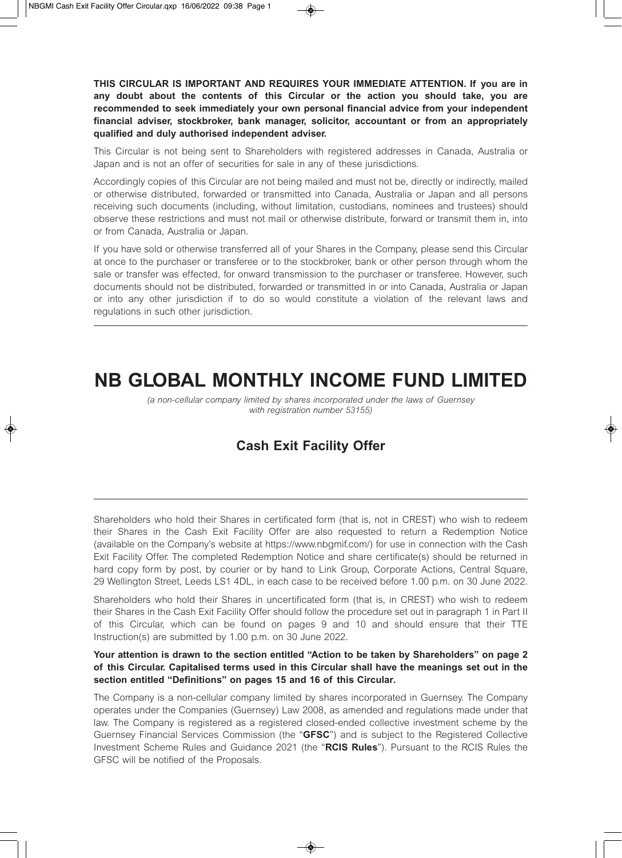**THIS CIRCULAR IS IMPORTANT AND REQUIRES YOUR IMMEDIATE ATTENTION. If you are in any doubt about the contents of this Circular or the action you should take, you are recommended to seek immediately your own personal financial advice from your independent financial adviser, stockbroker, bank manager, solicitor, accountant or from an appropriately qualified and duly authorised independent adviser.** 

This Circular is not being sent to Shareholders with registered addresses in Canada, Australia or Japan and is not an offer of securities for sale in any of these jurisdictions.

Accordingly copies of this Circular are not being mailed and must not be, directly or indirectly, mailed or otherwise distributed, forwarded or transmitted into Canada, Australia or Japan and all persons receiving such documents (including, without limitation, custodians, nominees and trustees) should observe these restrictions and must not mail or otherwise distribute, forward or transmit them in, into or from Canada, Australia or Japan.

If you have sold or otherwise transferred all of your Shares in the Company, please send this Circular at once to the purchaser or transferee or to the stockbroker, bank or other person through whom the sale or transfer was effected, for onward transmission to the purchaser or transferee. However, such documents should not be distributed, forwarded or transmitted in or into Canada, Australia or Japan or into any other jurisdiction if to do so would constitute a violation of the relevant laws and regulations in such other jurisdiction.

# **NB GLOBAL MONTHLY INCOME FUND LIMITED**

*(a non-cellular company limited by shares incorporated under the laws of Guernsey with registration number 53155)* 

## **Cash Exit Facility Offer**

Shareholders who hold their Shares in certificated form (that is, not in CREST) who wish to redeem their Shares in the Cash Exit Facility Offer are also requested to return a Redemption Notice (available on the Company's website at https://www.nbgmif.com/) for use in connection with the Cash Exit Facility Offer. The completed Redemption Notice and share certificate(s) should be returned in hard copy form by post, by courier or by hand to Link Group, Corporate Actions, Central Square, 29 Wellington Street, Leeds LS1 4DL, in each case to be received before 1.00 p.m. on 30 June 2022.

Shareholders who hold their Shares in uncertificated form (that is, in CREST) who wish to redeem their Shares in the Cash Exit Facility Offer should follow the procedure set out in paragraph 1 in Part II of this Circular, which can be found on pages 9 and 10 and should ensure that their TTE Instruction(s) are submitted by 1.00 p.m. on 30 June 2022.

#### **Your attention is drawn to the section entitled "Action to be taken by Shareholders" on page 2 of this Circular. Capitalised terms used in this Circular shall have the meanings set out in the section entitled "Definitions" on pages 15 and 16 of this Circular.**

The Company is a non-cellular company limited by shares incorporated in Guernsey. The Company operates under the Companies (Guernsey) Law 2008, as amended and regulations made under that law. The Company is registered as a registered closed-ended collective investment scheme by the Guernsey Financial Services Commission (the "**GFSC**") and is subject to the Registered Collective Investment Scheme Rules and Guidance 2021 (the "**RCIS Rules**"). Pursuant to the RCIS Rules the GFSC will be notified of the Proposals.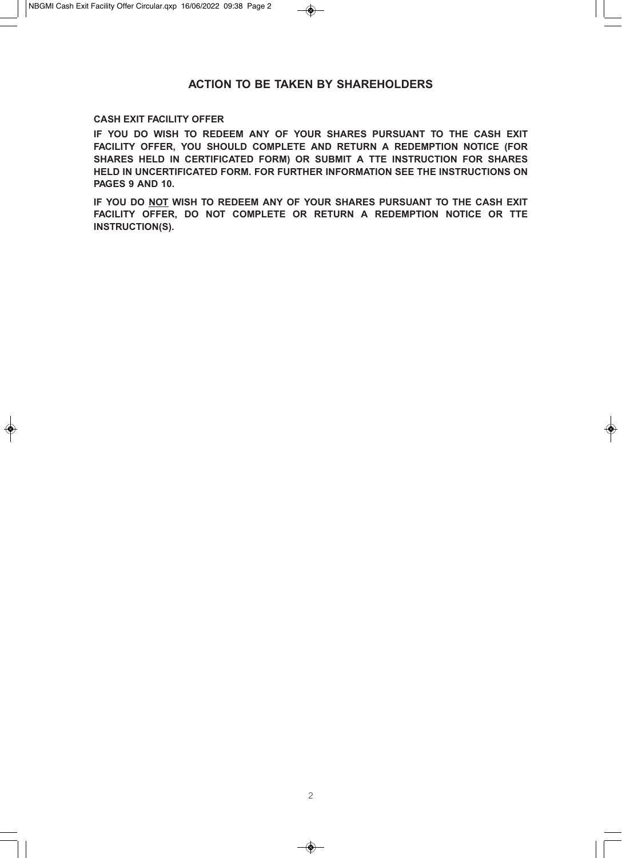## **ACTION TO BE TAKEN BY SHAREHOLDERS**

#### **CASH EXIT FACILITY OFFER**

**IF YOU DO WISH TO REDEEM ANY OF YOUR SHARES PURSUANT TO THE CASH EXIT FACILITY OFFER, YOU SHOULD COMPLETE AND RETURN A REDEMPTION NOTICE (FOR SHARES HELD IN CERTIFICATED FORM) OR SUBMIT A TTE INSTRUCTION FOR SHARES HELD IN UNCERTIFICATED FORM. FOR FURTHER INFORMATION SEE THE INSTRUCTIONS ON PAGES 9 AND 10.** 

**IF YOU DO NOT WISH TO REDEEM ANY OF YOUR SHARES PURSUANT TO THE CASH EXIT FACILITY OFFER, DO NOT COMPLETE OR RETURN A REDEMPTION NOTICE OR TTE INSTRUCTION(S).**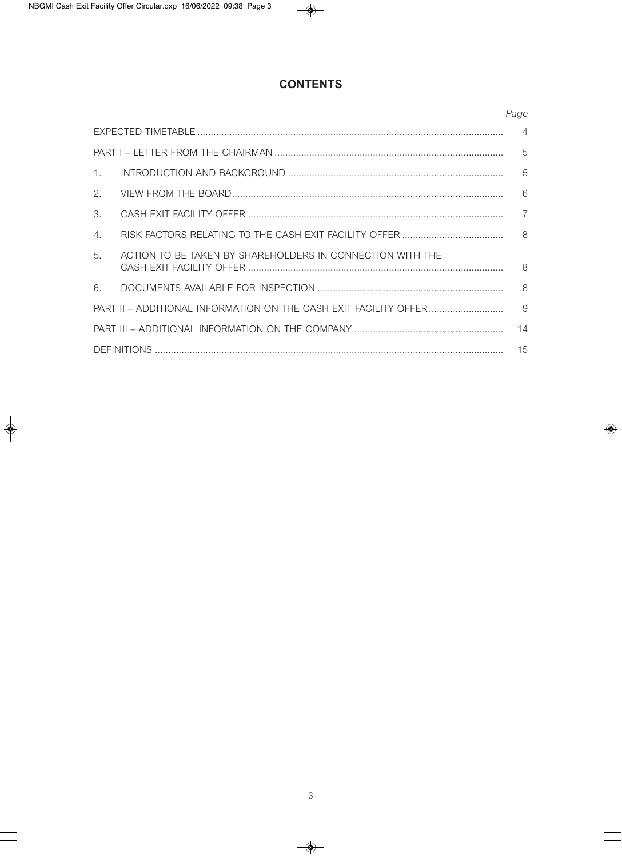## **CONTENTS**

|                       |                                                           | Page           |
|-----------------------|-----------------------------------------------------------|----------------|
|                       |                                                           | $\overline{4}$ |
|                       |                                                           | $\overline{5}$ |
| $\mathbf{1}$ .        |                                                           |                |
| 2.                    |                                                           | 6              |
| $\mathcal{B}_{\cdot}$ |                                                           | $\overline{7}$ |
| 4.                    |                                                           | 8 <sup>8</sup> |
| 5.                    | ACTION TO BE TAKEN BY SHAREHOLDERS IN CONNECTION WITH THE | 8              |
| 6.                    |                                                           | $\mathcal{B}$  |
|                       |                                                           | 9              |
|                       |                                                           | 14             |
| 15                    |                                                           |                |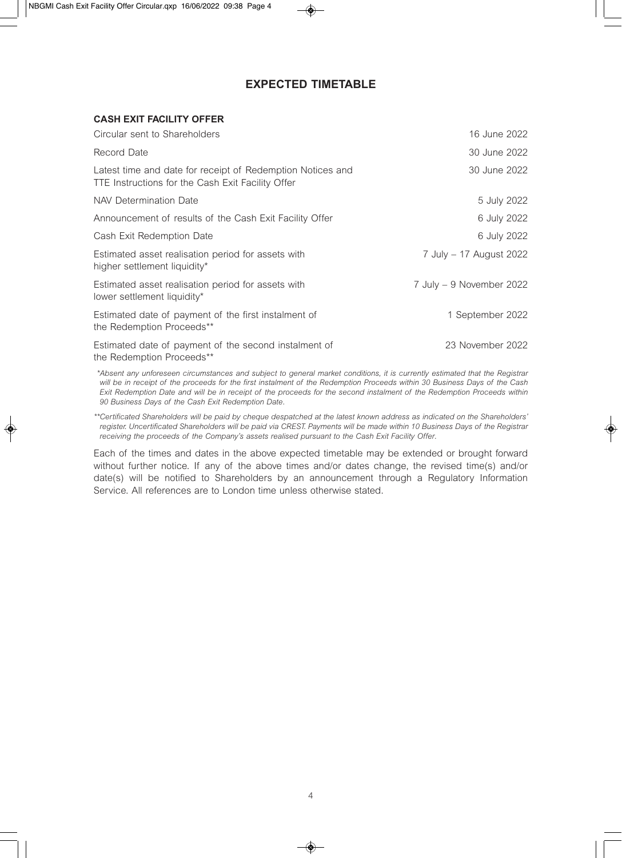## **EXPECTED TIMETABLE**

#### **CASH EXIT FACILITY OFFER**

| Circular sent to Shareholders                                                                                   | 16 June 2022             |
|-----------------------------------------------------------------------------------------------------------------|--------------------------|
| Record Date                                                                                                     | 30 June 2022             |
| Latest time and date for receipt of Redemption Notices and<br>TTE Instructions for the Cash Exit Facility Offer | 30 June 2022             |
| NAV Determination Date                                                                                          | 5 July 2022              |
| Announcement of results of the Cash Exit Facility Offer                                                         | 6 July 2022              |
| Cash Exit Redemption Date                                                                                       | 6 July 2022              |
| Estimated asset realisation period for assets with<br>higher settlement liquidity*                              | 7 July – 17 August 2022  |
| Estimated asset realisation period for assets with<br>lower settlement liquidity*                               | 7 July - 9 November 2022 |
| Estimated date of payment of the first instalment of<br>the Redemption Proceeds**                               | 1 September 2022         |
| Estimated date of payment of the second instalment of<br>the Redemption Proceeds**                              | 23 November 2022         |

*\*\*Absent any unforeseen circumstances and subject to general market conditions, it is currently estimated that the Registrar will be in receipt of the proceeds for the first instalment of the Redemption Proceeds within 30 Business Days of the Cash Exit Redemption Date and will be in receipt of the proceeds for the second instalment of the Redemption Proceeds within 90 Business Days of the Cash Exit Redemption Date.* 

*\*\*Certificated Shareholders will be paid by cheque despatched at the latest known address as indicated on the Shareholders' register. Uncertificated Shareholders will be paid via CREST. Payments will be made within 10 Business Days of the Registrar receiving the proceeds of the Company's assets realised pursuant to the Cash Exit Facility Offer.* 

Each of the times and dates in the above expected timetable may be extended or brought forward without further notice. If any of the above times and/or dates change, the revised time(s) and/or date(s) will be notified to Shareholders by an announcement through a Regulatory Information Service. All references are to London time unless otherwise stated.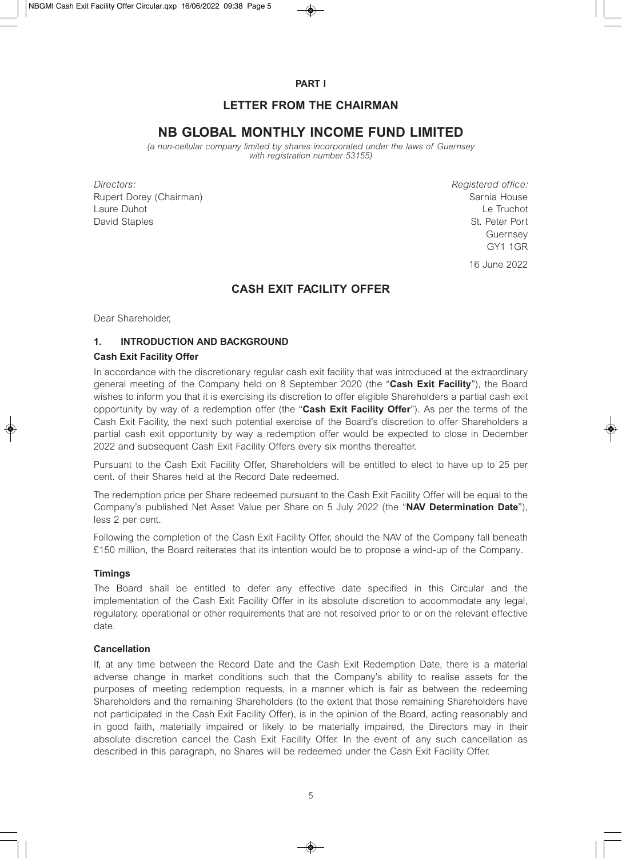**PART I** 

## **LETTER FROM THE CHAIRMAN**

## **NB GLOBAL MONTHLY INCOME FUND LIMITED**

*(a non-cellular company limited by shares incorporated under the laws of Guernsey with registration number 53155)* 

*Directors: Registered office:*  Rupert Dorey (Chairman) Sarnia House Sarnia House Laure Duhot **Le Truchot** Le Truchot **Le Truchot** David Staples St. Peter Port

Guernsey GY1 1GR

16 June 2022

## **CASH EXIT FACILITY OFFER**

Dear Shareholder,

#### **1. INTRODUCTION AND BACKGROUND**

#### **Cash Exit Facility Offer**

In accordance with the discretionary regular cash exit facility that was introduced at the extraordinary general meeting of the Company held on 8 September 2020 (the "**Cash Exit Facility**"), the Board wishes to inform you that it is exercising its discretion to offer eligible Shareholders a partial cash exit opportunity by way of a redemption offer (the "**Cash Exit Facility Offer**"). As per the terms of the Cash Exit Facility, the next such potential exercise of the Board's discretion to offer Shareholders a partial cash exit opportunity by way a redemption offer would be expected to close in December 2022 and subsequent Cash Exit Facility Offers every six months thereafter.

Pursuant to the Cash Exit Facility Offer, Shareholders will be entitled to elect to have up to 25 per cent. of their Shares held at the Record Date redeemed.

The redemption price per Share redeemed pursuant to the Cash Exit Facility Offer will be equal to the Company's published Net Asset Value per Share on 5 July 2022 (the "**NAV Determination Date**"), less 2 per cent.

Following the completion of the Cash Exit Facility Offer, should the NAV of the Company fall beneath £150 million, the Board reiterates that its intention would be to propose a wind-up of the Company.

#### **Timings**

The Board shall be entitled to defer any effective date specified in this Circular and the implementation of the Cash Exit Facility Offer in its absolute discretion to accommodate any legal, regulatory, operational or other requirements that are not resolved prior to or on the relevant effective date.

#### **Cancellation**

If, at any time between the Record Date and the Cash Exit Redemption Date, there is a material adverse change in market conditions such that the Company's ability to realise assets for the purposes of meeting redemption requests, in a manner which is fair as between the redeeming Shareholders and the remaining Shareholders (to the extent that those remaining Shareholders have not participated in the Cash Exit Facility Offer), is in the opinion of the Board, acting reasonably and in good faith, materially impaired or likely to be materially impaired, the Directors may in their absolute discretion cancel the Cash Exit Facility Offer. In the event of any such cancellation as described in this paragraph, no Shares will be redeemed under the Cash Exit Facility Offer.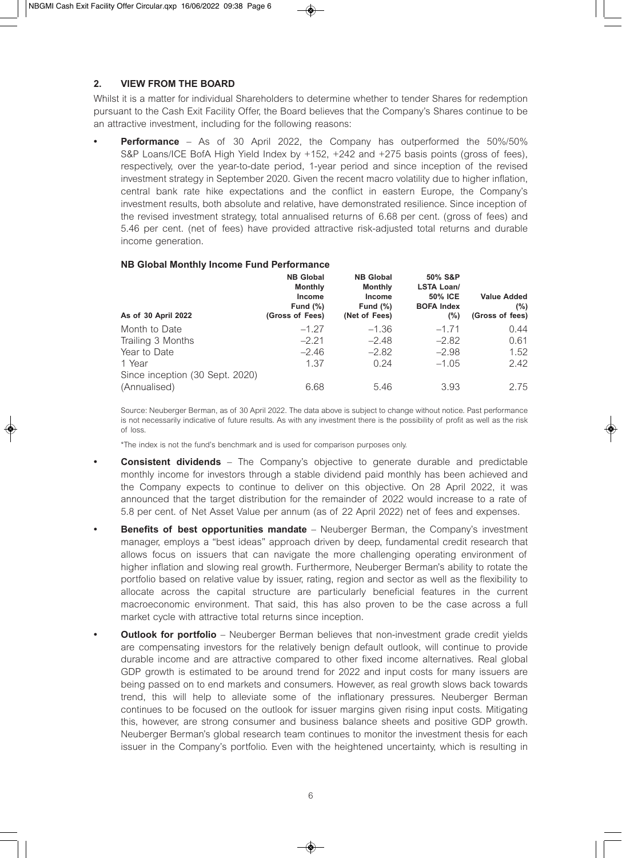#### **2. VIEW FROM THE BOARD**

Whilst it is a matter for individual Shareholders to determine whether to tender Shares for redemption pursuant to the Cash Exit Facility Offer, the Board believes that the Company's Shares continue to be an attractive investment, including for the following reasons:

**Performance** – As of 30 April 2022, the Company has outperformed the 50%/50% S&P Loans/ICE BofA High Yield Index by +152, +242 and +275 basis points (gross of fees), respectively, over the year-to-date period, 1-year period and since inception of the revised investment strategy in September 2020. Given the recent macro volatility due to higher inflation, central bank rate hike expectations and the conflict in eastern Europe, the Company's investment results, both absolute and relative, have demonstrated resilience. Since inception of the revised investment strategy, total annualised returns of 6.68 per cent. (gross of fees) and 5.46 per cent. (net of fees) have provided attractive risk-adjusted total returns and durable income generation.

#### **NB Global Monthly Income Fund Performance**

| As of 30 April 2022             | <b>NB Global</b><br><b>Monthly</b><br>Income<br>Fund $(\%)$<br>(Gross of Fees) | <b>NB Global</b><br><b>Monthly</b><br><b>Income</b><br>Fund $(\%)$<br>(Net of Fees) | 50% S&P<br><b>LSTA Loan/</b><br><b>50% ICE</b><br><b>BOFA Index</b><br>(%) | <b>Value Added</b><br>(% )<br>(Gross of fees) |
|---------------------------------|--------------------------------------------------------------------------------|-------------------------------------------------------------------------------------|----------------------------------------------------------------------------|-----------------------------------------------|
| Month to Date                   | $-1.27$                                                                        | $-1.36$                                                                             | $-1.71$                                                                    | 0.44                                          |
| Trailing 3 Months               | $-2.21$                                                                        | $-2.48$                                                                             | $-2.82$                                                                    | 0.61                                          |
| Year to Date                    | $-2.46$                                                                        | $-2.82$                                                                             | $-2.98$                                                                    | 1.52                                          |
| 1 Year                          | 1.37                                                                           | 0.24                                                                                | $-1.05$                                                                    | 2.42                                          |
| Since inception (30 Sept. 2020) |                                                                                |                                                                                     |                                                                            |                                               |
| (Annualised)                    | 6.68                                                                           | 5.46                                                                                | 3.93                                                                       | 2.75                                          |

Source: Neuberger Berman, as of 30 April 2022. The data above is subject to change without notice. Past performance is not necessarily indicative of future results. As with any investment there is the possibility of profit as well as the risk of loss.

\*The index is not the fund's benchmark and is used for comparison purposes only.

- **Consistent dividends** The Company's objective to generate durable and predictable monthly income for investors through a stable dividend paid monthly has been achieved and the Company expects to continue to deliver on this objective. On 28 April 2022, it was announced that the target distribution for the remainder of 2022 would increase to a rate of 5.8 per cent. of Net Asset Value per annum (as of 22 April 2022) net of fees and expenses.
- **Benefits of best opportunities mandate** Neuberger Berman, the Company's investment manager, employs a "best ideas" approach driven by deep, fundamental credit research that allows focus on issuers that can navigate the more challenging operating environment of higher inflation and slowing real growth. Furthermore, Neuberger Berman's ability to rotate the portfolio based on relative value by issuer, rating, region and sector as well as the flexibility to allocate across the capital structure are particularly beneficial features in the current macroeconomic environment. That said, this has also proven to be the case across a full market cycle with attractive total returns since inception.
- **Outlook for portfolio** Neuberger Berman believes that non-investment grade credit yields are compensating investors for the relatively benign default outlook, will continue to provide durable income and are attractive compared to other fixed income alternatives. Real global GDP growth is estimated to be around trend for 2022 and input costs for many issuers are being passed on to end markets and consumers. However, as real growth slows back towards trend, this will help to alleviate some of the inflationary pressures. Neuberger Berman continues to be focused on the outlook for issuer margins given rising input costs. Mitigating this, however, are strong consumer and business balance sheets and positive GDP growth. Neuberger Berman's global research team continues to monitor the investment thesis for each issuer in the Company's portfolio. Even with the heightened uncertainty, which is resulting in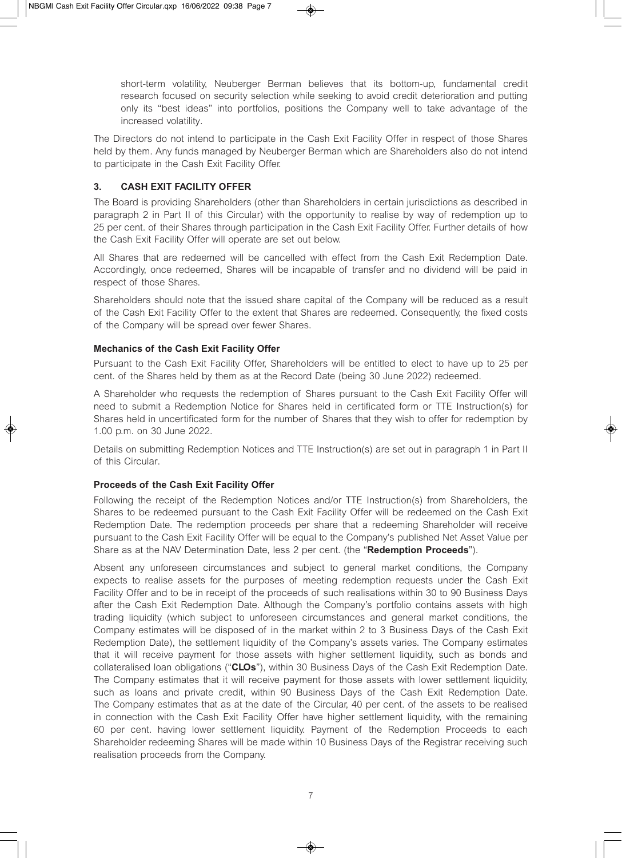short-term volatility, Neuberger Berman believes that its bottom-up, fundamental credit research focused on security selection while seeking to avoid credit deterioration and putting only its "best ideas" into portfolios, positions the Company well to take advantage of the increased volatility.

The Directors do not intend to participate in the Cash Exit Facility Offer in respect of those Shares held by them. Any funds managed by Neuberger Berman which are Shareholders also do not intend to participate in the Cash Exit Facility Offer.

#### **3. CASH EXIT FACILITY OFFER**

The Board is providing Shareholders (other than Shareholders in certain jurisdictions as described in paragraph 2 in Part II of this Circular) with the opportunity to realise by way of redemption up to 25 per cent. of their Shares through participation in the Cash Exit Facility Offer. Further details of how the Cash Exit Facility Offer will operate are set out below.

All Shares that are redeemed will be cancelled with effect from the Cash Exit Redemption Date. Accordingly, once redeemed, Shares will be incapable of transfer and no dividend will be paid in respect of those Shares.

Shareholders should note that the issued share capital of the Company will be reduced as a result of the Cash Exit Facility Offer to the extent that Shares are redeemed. Consequently, the fixed costs of the Company will be spread over fewer Shares.

#### **Mechanics of the Cash Exit Facility Offer**

Pursuant to the Cash Exit Facility Offer, Shareholders will be entitled to elect to have up to 25 per cent. of the Shares held by them as at the Record Date (being 30 June 2022) redeemed.

A Shareholder who requests the redemption of Shares pursuant to the Cash Exit Facility Offer will need to submit a Redemption Notice for Shares held in certificated form or TTE Instruction(s) for Shares held in uncertificated form for the number of Shares that they wish to offer for redemption by 1.00 p.m. on 30 June 2022.

Details on submitting Redemption Notices and TTE Instruction(s) are set out in paragraph 1 in Part II of this Circular.

#### **Proceeds of the Cash Exit Facility Offer**

Following the receipt of the Redemption Notices and/or TTE Instruction(s) from Shareholders, the Shares to be redeemed pursuant to the Cash Exit Facility Offer will be redeemed on the Cash Exit Redemption Date. The redemption proceeds per share that a redeeming Shareholder will receive pursuant to the Cash Exit Facility Offer will be equal to the Company's published Net Asset Value per Share as at the NAV Determination Date, less 2 per cent. (the "**Redemption Proceeds**").

Absent any unforeseen circumstances and subject to general market conditions, the Company expects to realise assets for the purposes of meeting redemption requests under the Cash Exit Facility Offer and to be in receipt of the proceeds of such realisations within 30 to 90 Business Days after the Cash Exit Redemption Date. Although the Company's portfolio contains assets with high trading liquidity (which subject to unforeseen circumstances and general market conditions, the Company estimates will be disposed of in the market within 2 to 3 Business Days of the Cash Exit Redemption Date), the settlement liquidity of the Company's assets varies. The Company estimates that it will receive payment for those assets with higher settlement liquidity, such as bonds and collateralised loan obligations ("**CLOs**"), within 30 Business Days of the Cash Exit Redemption Date. The Company estimates that it will receive payment for those assets with lower settlement liquidity, such as loans and private credit, within 90 Business Days of the Cash Exit Redemption Date. The Company estimates that as at the date of the Circular, 40 per cent. of the assets to be realised in connection with the Cash Exit Facility Offer have higher settlement liquidity, with the remaining 60 per cent. having lower settlement liquidity. Payment of the Redemption Proceeds to each Shareholder redeeming Shares will be made within 10 Business Days of the Registrar receiving such realisation proceeds from the Company.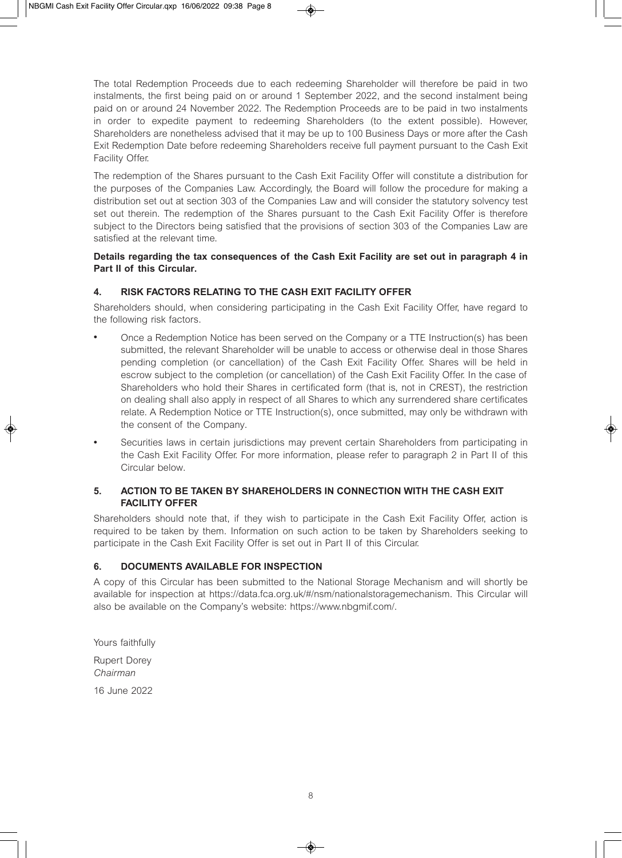The total Redemption Proceeds due to each redeeming Shareholder will therefore be paid in two instalments, the first being paid on or around 1 September 2022, and the second instalment being paid on or around 24 November 2022. The Redemption Proceeds are to be paid in two instalments in order to expedite payment to redeeming Shareholders (to the extent possible). However, Shareholders are nonetheless advised that it may be up to 100 Business Days or more after the Cash Exit Redemption Date before redeeming Shareholders receive full payment pursuant to the Cash Exit Facility Offer.

The redemption of the Shares pursuant to the Cash Exit Facility Offer will constitute a distribution for the purposes of the Companies Law. Accordingly, the Board will follow the procedure for making a distribution set out at section 303 of the Companies Law and will consider the statutory solvency test set out therein. The redemption of the Shares pursuant to the Cash Exit Facility Offer is therefore subject to the Directors being satisfied that the provisions of section 303 of the Companies Law are satisfied at the relevant time.

#### **Details regarding the tax consequences of the Cash Exit Facility are set out in paragraph 4 in Part II of this Circular.**

#### **4. RISK FACTORS RELATING TO THE CASH EXIT FACILITY OFFER**

Shareholders should, when considering participating in the Cash Exit Facility Offer, have regard to the following risk factors.

- <sup>l</sup> Once a Redemption Notice has been served on the Company or a TTE Instruction(s) has been submitted, the relevant Shareholder will be unable to access or otherwise deal in those Shares pending completion (or cancellation) of the Cash Exit Facility Offer. Shares will be held in escrow subject to the completion (or cancellation) of the Cash Exit Facility Offer. In the case of Shareholders who hold their Shares in certificated form (that is, not in CREST), the restriction on dealing shall also apply in respect of all Shares to which any surrendered share certificates relate. A Redemption Notice or TTE Instruction(s), once submitted, may only be withdrawn with the consent of the Company.
- Securities laws in certain jurisdictions may prevent certain Shareholders from participating in the Cash Exit Facility Offer. For more information, please refer to paragraph 2 in Part II of this Circular below.

#### **5. ACTION TO BE TAKEN BY SHAREHOLDERS IN CONNECTION WITH THE CASH EXIT FACILITY OFFER**

Shareholders should note that, if they wish to participate in the Cash Exit Facility Offer, action is required to be taken by them. Information on such action to be taken by Shareholders seeking to participate in the Cash Exit Facility Offer is set out in Part II of this Circular.

#### **6. DOCUMENTS AVAILABLE FOR INSPECTION**

A copy of this Circular has been submitted to the National Storage Mechanism and will shortly be available for inspection at https://data.fca.org.uk/#/nsm/nationalstoragemechanism. This Circular will also be available on the Company's website: https://www.nbgmif.com/.

Yours faithfully Rupert Dorey *Chairman*  16 June 2022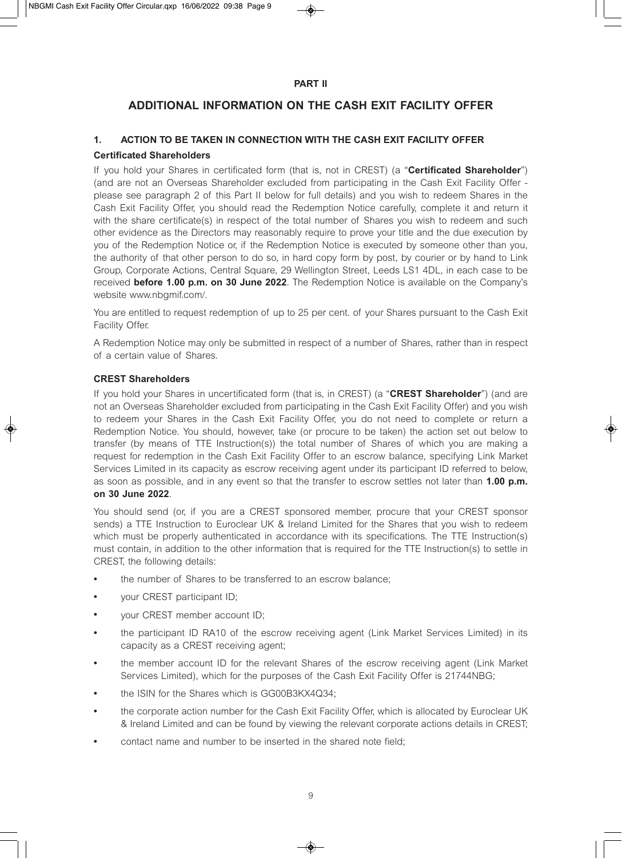#### **PART II**

## **ADDITIONAL INFORMATION ON THE CASH EXIT FACILITY OFFER**

#### **1. ACTION TO BE TAKEN IN CONNECTION WITH THE CASH EXIT FACILITY OFFER Certificated Shareholders**

If you hold your Shares in certificated form (that is, not in CREST) (a "**Certificated Shareholder**") (and are not an Overseas Shareholder excluded from participating in the Cash Exit Facility Offer please see paragraph 2 of this Part II below for full details) and you wish to redeem Shares in the Cash Exit Facility Offer, you should read the Redemption Notice carefully, complete it and return it with the share certificate(s) in respect of the total number of Shares you wish to redeem and such other evidence as the Directors may reasonably require to prove your title and the due execution by you of the Redemption Notice or, if the Redemption Notice is executed by someone other than you, the authority of that other person to do so, in hard copy form by post, by courier or by hand to Link Group, Corporate Actions, Central Square, 29 Wellington Street, Leeds LS1 4DL, in each case to be received **before 1.00 p.m. on 30 June 2022**. The Redemption Notice is available on the Company's website www.nbgmif.com/.

You are entitled to request redemption of up to 25 per cent. of your Shares pursuant to the Cash Exit Facility Offer.

A Redemption Notice may only be submitted in respect of a number of Shares, rather than in respect of a certain value of Shares.

#### **CREST Shareholders**

If you hold your Shares in uncertificated form (that is, in CREST) (a "**CREST Shareholder**") (and are not an Overseas Shareholder excluded from participating in the Cash Exit Facility Offer) and you wish to redeem your Shares in the Cash Exit Facility Offer, you do not need to complete or return a Redemption Notice. You should, however, take (or procure to be taken) the action set out below to transfer (by means of TTE Instruction(s)) the total number of Shares of which you are making a request for redemption in the Cash Exit Facility Offer to an escrow balance, specifying Link Market Services Limited in its capacity as escrow receiving agent under its participant ID referred to below, as soon as possible, and in any event so that the transfer to escrow settles not later than **1.00 p.m. on 30 June 2022**.

You should send (or, if you are a CREST sponsored member, procure that your CREST sponsor sends) a TTE Instruction to Euroclear UK & Ireland Limited for the Shares that you wish to redeem which must be properly authenticated in accordance with its specifications. The TTE Instruction(s) must contain, in addition to the other information that is required for the TTE Instruction(s) to settle in CREST, the following details:

- the number of Shares to be transferred to an escrow balance;
- your CREST participant ID;
- your CREST member account ID;
- the participant ID RA10 of the escrow receiving agent (Link Market Services Limited) in its capacity as a CREST receiving agent;
- <sup>l</sup> the member account ID for the relevant Shares of the escrow receiving agent (Link Market Services Limited), which for the purposes of the Cash Exit Facility Offer is 21744NBG;
- the ISIN for the Shares which is GG00B3KX4Q34;
- the corporate action number for the Cash Exit Facility Offer, which is allocated by Euroclear UK & Ireland Limited and can be found by viewing the relevant corporate actions details in CREST;
- contact name and number to be inserted in the shared note field;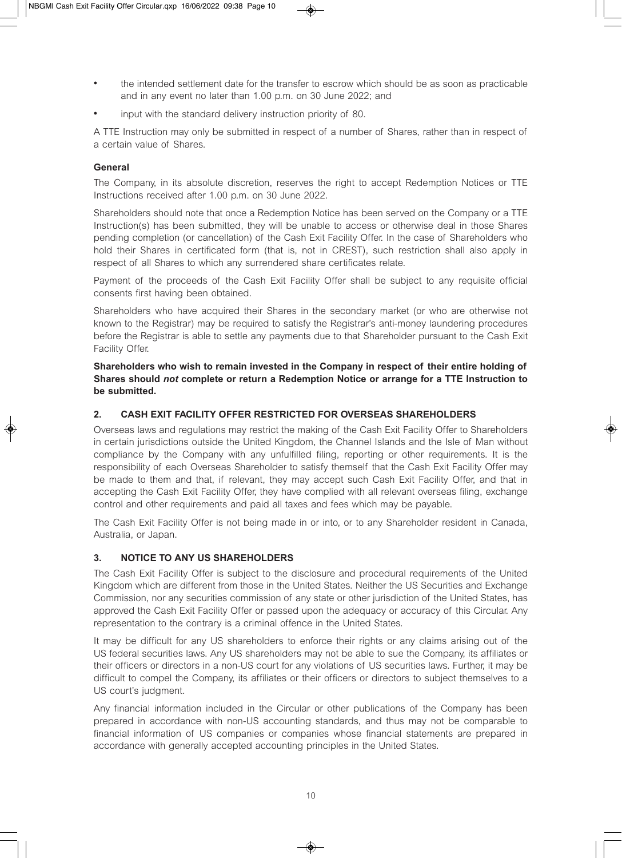- the intended settlement date for the transfer to escrow which should be as soon as practicable and in any event no later than 1.00 p.m. on 30 June 2022; and
- input with the standard delivery instruction priority of 80.

A TTE Instruction may only be submitted in respect of a number of Shares, rather than in respect of a certain value of Shares.

#### **General**

The Company, in its absolute discretion, reserves the right to accept Redemption Notices or TTE Instructions received after 1.00 p.m. on 30 June 2022.

Shareholders should note that once a Redemption Notice has been served on the Company or a TTE Instruction(s) has been submitted, they will be unable to access or otherwise deal in those Shares pending completion (or cancellation) of the Cash Exit Facility Offer. In the case of Shareholders who hold their Shares in certificated form (that is, not in CREST), such restriction shall also apply in respect of all Shares to which any surrendered share certificates relate.

Payment of the proceeds of the Cash Exit Facility Offer shall be subject to any requisite official consents first having been obtained.

Shareholders who have acquired their Shares in the secondary market (or who are otherwise not known to the Registrar) may be required to satisfy the Registrar's anti-money laundering procedures before the Registrar is able to settle any payments due to that Shareholder pursuant to the Cash Exit Facility Offer.

**Shareholders who wish to remain invested in the Company in respect of their entire holding of Shares should** *not* **complete or return a Redemption Notice or arrange for a TTE Instruction to be submitted.** 

#### **2. CASH EXIT FACILITY OFFER RESTRICTED FOR OVERSEAS SHAREHOLDERS**

Overseas laws and regulations may restrict the making of the Cash Exit Facility Offer to Shareholders in certain jurisdictions outside the United Kingdom, the Channel Islands and the Isle of Man without compliance by the Company with any unfulfilled filing, reporting or other requirements. It is the responsibility of each Overseas Shareholder to satisfy themself that the Cash Exit Facility Offer may be made to them and that, if relevant, they may accept such Cash Exit Facility Offer, and that in accepting the Cash Exit Facility Offer, they have complied with all relevant overseas filing, exchange control and other requirements and paid all taxes and fees which may be payable.

The Cash Exit Facility Offer is not being made in or into, or to any Shareholder resident in Canada, Australia, or Japan.

#### **3. NOTICE TO ANY US SHAREHOLDERS**

The Cash Exit Facility Offer is subject to the disclosure and procedural requirements of the United Kingdom which are different from those in the United States. Neither the US Securities and Exchange Commission, nor any securities commission of any state or other jurisdiction of the United States, has approved the Cash Exit Facility Offer or passed upon the adequacy or accuracy of this Circular. Any representation to the contrary is a criminal offence in the United States.

It may be difficult for any US shareholders to enforce their rights or any claims arising out of the US federal securities laws. Any US shareholders may not be able to sue the Company, its affiliates or their officers or directors in a non-US court for any violations of US securities laws. Further, it may be difficult to compel the Company, its affiliates or their officers or directors to subject themselves to a US court's judgment.

Any financial information included in the Circular or other publications of the Company has been prepared in accordance with non-US accounting standards, and thus may not be comparable to financial information of US companies or companies whose financial statements are prepared in accordance with generally accepted accounting principles in the United States.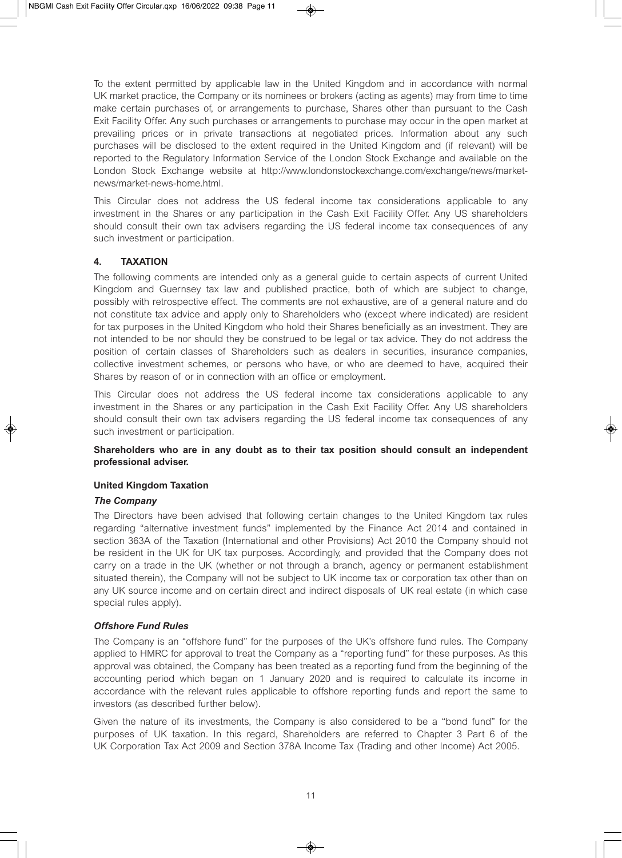To the extent permitted by applicable law in the United Kingdom and in accordance with normal UK market practice, the Company or its nominees or brokers (acting as agents) may from time to time make certain purchases of, or arrangements to purchase, Shares other than pursuant to the Cash Exit Facility Offer. Any such purchases or arrangements to purchase may occur in the open market at prevailing prices or in private transactions at negotiated prices. Information about any such purchases will be disclosed to the extent required in the United Kingdom and (if relevant) will be reported to the Regulatory Information Service of the London Stock Exchange and available on the London Stock Exchange website at http://www.londonstockexchange.com/exchange/news/marketnews/market-news-home.html.

This Circular does not address the US federal income tax considerations applicable to any investment in the Shares or any participation in the Cash Exit Facility Offer. Any US shareholders should consult their own tax advisers regarding the US federal income tax consequences of any such investment or participation.

#### **4. TAXATION**

The following comments are intended only as a general guide to certain aspects of current United Kingdom and Guernsey tax law and published practice, both of which are subject to change, possibly with retrospective effect. The comments are not exhaustive, are of a general nature and do not constitute tax advice and apply only to Shareholders who (except where indicated) are resident for tax purposes in the United Kingdom who hold their Shares beneficially as an investment. They are not intended to be nor should they be construed to be legal or tax advice. They do not address the position of certain classes of Shareholders such as dealers in securities, insurance companies, collective investment schemes, or persons who have, or who are deemed to have, acquired their Shares by reason of or in connection with an office or employment.

This Circular does not address the US federal income tax considerations applicable to any investment in the Shares or any participation in the Cash Exit Facility Offer. Any US shareholders should consult their own tax advisers regarding the US federal income tax consequences of any such investment or participation.

#### **Shareholders who are in any doubt as to their tax position should consult an independent professional adviser.**

#### **United Kingdom Taxation**

#### *The Company*

The Directors have been advised that following certain changes to the United Kingdom tax rules regarding "alternative investment funds" implemented by the Finance Act 2014 and contained in section 363A of the Taxation (International and other Provisions) Act 2010 the Company should not be resident in the UK for UK tax purposes. Accordingly, and provided that the Company does not carry on a trade in the UK (whether or not through a branch, agency or permanent establishment situated therein), the Company will not be subject to UK income tax or corporation tax other than on any UK source income and on certain direct and indirect disposals of UK real estate (in which case special rules apply).

#### *Offshore Fund Rules*

The Company is an "offshore fund" for the purposes of the UK's offshore fund rules. The Company applied to HMRC for approval to treat the Company as a "reporting fund" for these purposes. As this approval was obtained, the Company has been treated as a reporting fund from the beginning of the accounting period which began on 1 January 2020 and is required to calculate its income in accordance with the relevant rules applicable to offshore reporting funds and report the same to investors (as described further below).

Given the nature of its investments, the Company is also considered to be a "bond fund" for the purposes of UK taxation. In this regard, Shareholders are referred to Chapter 3 Part 6 of the UK Corporation Tax Act 2009 and Section 378A Income Tax (Trading and other Income) Act 2005.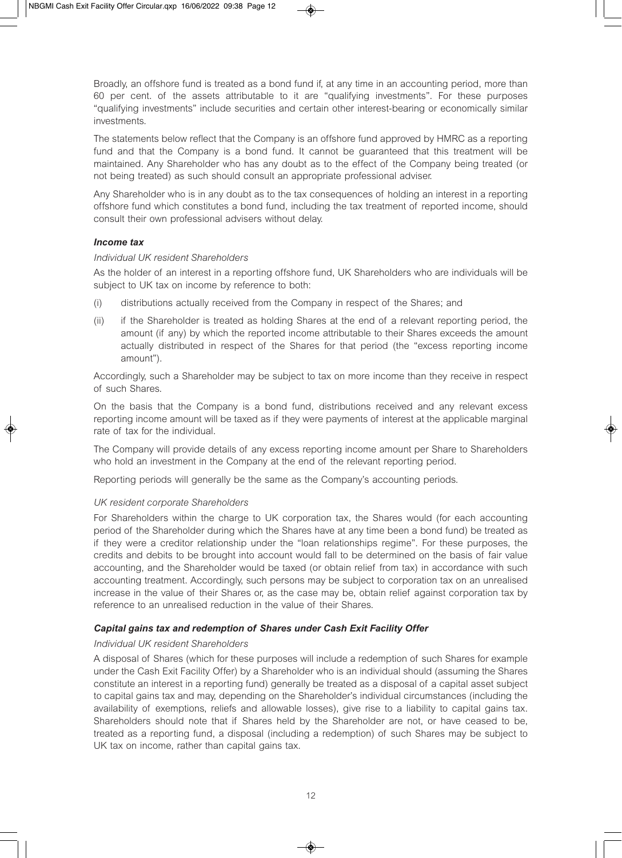Broadly, an offshore fund is treated as a bond fund if, at any time in an accounting period, more than 60 per cent. of the assets attributable to it are "qualifying investments". For these purposes "qualifying investments" include securities and certain other interest-bearing or economically similar investments.

The statements below reflect that the Company is an offshore fund approved by HMRC as a reporting fund and that the Company is a bond fund. It cannot be guaranteed that this treatment will be maintained. Any Shareholder who has any doubt as to the effect of the Company being treated (or not being treated) as such should consult an appropriate professional adviser.

Any Shareholder who is in any doubt as to the tax consequences of holding an interest in a reporting offshore fund which constitutes a bond fund, including the tax treatment of reported income, should consult their own professional advisers without delay.

#### *Income tax*

#### *Individual UK resident Shareholders*

As the holder of an interest in a reporting offshore fund, UK Shareholders who are individuals will be subject to UK tax on income by reference to both:

- (i) distributions actually received from the Company in respect of the Shares; and
- (ii) if the Shareholder is treated as holding Shares at the end of a relevant reporting period, the amount (if any) by which the reported income attributable to their Shares exceeds the amount actually distributed in respect of the Shares for that period (the "excess reporting income amount").

Accordingly, such a Shareholder may be subject to tax on more income than they receive in respect of such Shares.

On the basis that the Company is a bond fund, distributions received and any relevant excess reporting income amount will be taxed as if they were payments of interest at the applicable marginal rate of tax for the individual.

The Company will provide details of any excess reporting income amount per Share to Shareholders who hold an investment in the Company at the end of the relevant reporting period.

Reporting periods will generally be the same as the Company's accounting periods.

#### *UK resident corporate Shareholders*

For Shareholders within the charge to UK corporation tax, the Shares would (for each accounting period of the Shareholder during which the Shares have at any time been a bond fund) be treated as if they were a creditor relationship under the "loan relationships regime". For these purposes, the credits and debits to be brought into account would fall to be determined on the basis of fair value accounting, and the Shareholder would be taxed (or obtain relief from tax) in accordance with such accounting treatment. Accordingly, such persons may be subject to corporation tax on an unrealised increase in the value of their Shares or, as the case may be, obtain relief against corporation tax by reference to an unrealised reduction in the value of their Shares.

#### *Capital gains tax and redemption of Shares under Cash Exit Facility Offer*

#### *Individual UK resident Shareholders*

A disposal of Shares (which for these purposes will include a redemption of such Shares for example under the Cash Exit Facility Offer) by a Shareholder who is an individual should (assuming the Shares constitute an interest in a reporting fund) generally be treated as a disposal of a capital asset subject to capital gains tax and may, depending on the Shareholder's individual circumstances (including the availability of exemptions, reliefs and allowable losses), give rise to a liability to capital gains tax. Shareholders should note that if Shares held by the Shareholder are not, or have ceased to be, treated as a reporting fund, a disposal (including a redemption) of such Shares may be subject to UK tax on income, rather than capital gains tax.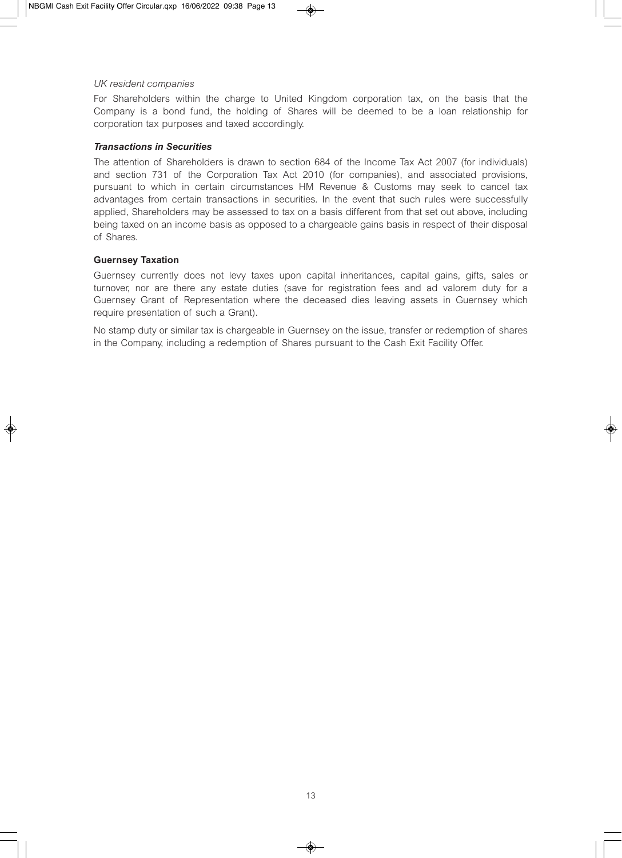#### *UK resident companies*

For Shareholders within the charge to United Kingdom corporation tax, on the basis that the Company is a bond fund, the holding of Shares will be deemed to be a loan relationship for corporation tax purposes and taxed accordingly.

#### *Transactions in Securities*

The attention of Shareholders is drawn to section 684 of the Income Tax Act 2007 (for individuals) and section 731 of the Corporation Tax Act 2010 (for companies), and associated provisions, pursuant to which in certain circumstances HM Revenue & Customs may seek to cancel tax advantages from certain transactions in securities. In the event that such rules were successfully applied, Shareholders may be assessed to tax on a basis different from that set out above, including being taxed on an income basis as opposed to a chargeable gains basis in respect of their disposal of Shares.

#### **Guernsey Taxation**

Guernsey currently does not levy taxes upon capital inheritances, capital gains, gifts, sales or turnover, nor are there any estate duties (save for registration fees and ad valorem duty for a Guernsey Grant of Representation where the deceased dies leaving assets in Guernsey which require presentation of such a Grant).

No stamp duty or similar tax is chargeable in Guernsey on the issue, transfer or redemption of shares in the Company, including a redemption of Shares pursuant to the Cash Exit Facility Offer.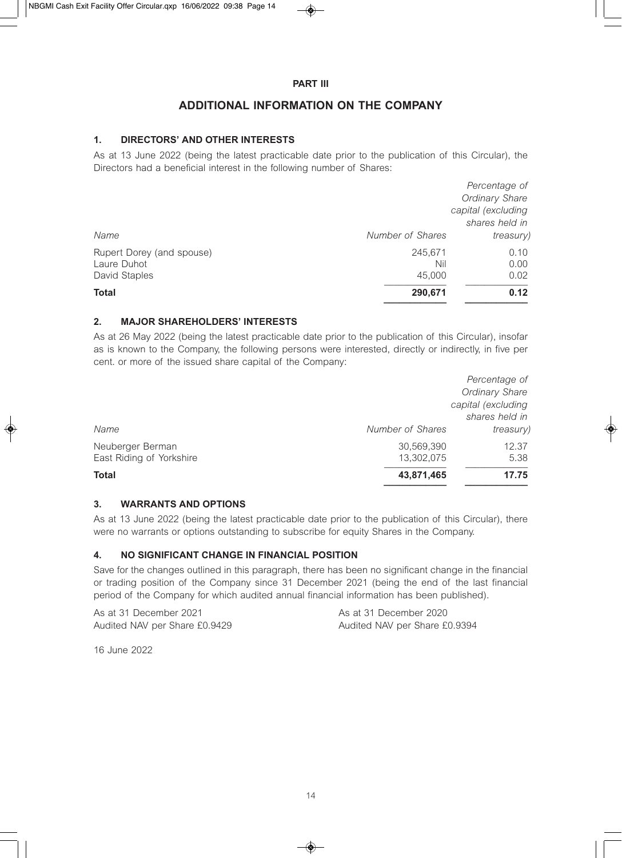#### **PART III**

## **ADDITIONAL INFORMATION ON THE COMPANY**

#### **1. DIRECTORS' AND OTHER INTERESTS**

As at 13 June 2022 (being the latest practicable date prior to the publication of this Circular), the Directors had a beneficial interest in the following number of Shares:

|                           |                  | Percentage of         |
|---------------------------|------------------|-----------------------|
|                           |                  | <b>Ordinary Share</b> |
|                           |                  | capital (excluding    |
|                           |                  | shares held in        |
| Name                      | Number of Shares | <i>treasury</i> )     |
| Rupert Dorey (and spouse) | 245.671          | 0.10                  |
| Laure Duhot               | Nil              | 0.00                  |
| David Staples             | 45,000           | 0.02                  |
| <b>Total</b>              | 290,671          | 0.12                  |

#### **2. MAJOR SHAREHOLDERS' INTERESTS**

As at 26 May 2022 (being the latest practicable date prior to the publication of this Circular), insofar as is known to the Company, the following persons were interested, directly or indirectly, in five per cent. or more of the issued share capital of the Company:

|                          |                  | Percentage of         |
|--------------------------|------------------|-----------------------|
|                          |                  | <b>Ordinary Share</b> |
|                          |                  | capital (excluding    |
|                          |                  | shares held in        |
| Name                     | Number of Shares | <i>treasury</i> )     |
| Neuberger Berman         | 30,569,390       | 12.37                 |
| East Riding of Yorkshire | 13,302,075       | 5.38                  |
| <b>Total</b>             | 43,871,465       | 17.75                 |
|                          |                  |                       |

#### **3. WARRANTS AND OPTIONS**

As at 13 June 2022 (being the latest practicable date prior to the publication of this Circular), there were no warrants or options outstanding to subscribe for equity Shares in the Company.

#### **4. NO SIGNIFICANT CHANGE IN FINANCIAL POSITION**

Save for the changes outlined in this paragraph, there has been no significant change in the financial or trading position of the Company since 31 December 2021 (being the end of the last financial period of the Company for which audited annual financial information has been published).

As at 31 December 2021 As at 31 December 2020

Audited NAV per Share £0.9429 Audited NAV per Share £0.9394

16 June 2022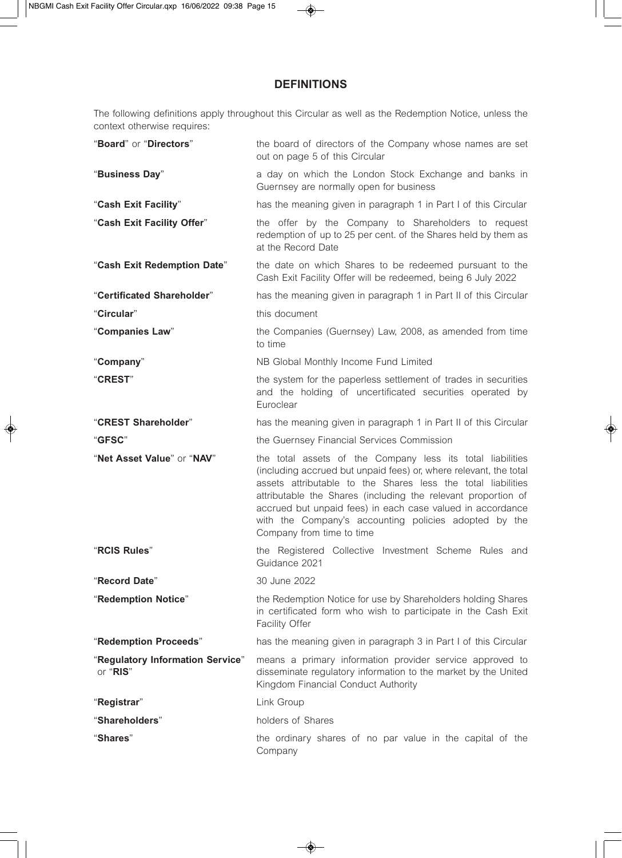## **DEFINITIONS**

The following definitions apply throughout this Circular as well as the Redemption Notice, unless the context otherwise requires:

| "Board" or "Directors"                       | the board of directors of the Company whose names are set<br>out on page 5 of this Circular                                                                                                                                                                                                                                                                                                                          |
|----------------------------------------------|----------------------------------------------------------------------------------------------------------------------------------------------------------------------------------------------------------------------------------------------------------------------------------------------------------------------------------------------------------------------------------------------------------------------|
| "Business Day"                               | a day on which the London Stock Exchange and banks in<br>Guernsey are normally open for business                                                                                                                                                                                                                                                                                                                     |
| "Cash Exit Facility"                         | has the meaning given in paragraph 1 in Part I of this Circular                                                                                                                                                                                                                                                                                                                                                      |
| "Cash Exit Facility Offer"                   | the offer by the Company to Shareholders to request<br>redemption of up to 25 per cent. of the Shares held by them as<br>at the Record Date                                                                                                                                                                                                                                                                          |
| "Cash Exit Redemption Date"                  | the date on which Shares to be redeemed pursuant to the<br>Cash Exit Facility Offer will be redeemed, being 6 July 2022                                                                                                                                                                                                                                                                                              |
| "Certificated Shareholder"                   | has the meaning given in paragraph 1 in Part II of this Circular                                                                                                                                                                                                                                                                                                                                                     |
| "Circular"                                   | this document                                                                                                                                                                                                                                                                                                                                                                                                        |
| "Companies Law"                              | the Companies (Guernsey) Law, 2008, as amended from time<br>to time                                                                                                                                                                                                                                                                                                                                                  |
| "Company"                                    | NB Global Monthly Income Fund Limited                                                                                                                                                                                                                                                                                                                                                                                |
| "CREST"                                      | the system for the paperless settlement of trades in securities<br>and the holding of uncertificated securities operated by<br>Euroclear                                                                                                                                                                                                                                                                             |
| "CREST Shareholder"                          | has the meaning given in paragraph 1 in Part II of this Circular                                                                                                                                                                                                                                                                                                                                                     |
| "GFSC"                                       | the Guernsey Financial Services Commission                                                                                                                                                                                                                                                                                                                                                                           |
| "Net Asset Value" or "NAV"                   | the total assets of the Company less its total liabilities<br>(including accrued but unpaid fees) or, where relevant, the total<br>assets attributable to the Shares less the total liabilities<br>attributable the Shares (including the relevant proportion of<br>accrued but unpaid fees) in each case valued in accordance<br>with the Company's accounting policies adopted by the<br>Company from time to time |
| "RCIS Rules"                                 | the Registered Collective Investment Scheme Rules and<br>Guidance 2021                                                                                                                                                                                                                                                                                                                                               |
| "Record Date"                                | 30 June 2022                                                                                                                                                                                                                                                                                                                                                                                                         |
| "Redemption Notice"                          | the Redemption Notice for use by Shareholders holding Shares<br>in certificated form who wish to participate in the Cash Exit<br>Facility Offer                                                                                                                                                                                                                                                                      |
| "Redemption Proceeds"                        | has the meaning given in paragraph 3 in Part I of this Circular                                                                                                                                                                                                                                                                                                                                                      |
| "Regulatory Information Service"<br>or "RIS" | means a primary information provider service approved to<br>disseminate regulatory information to the market by the United<br>Kingdom Financial Conduct Authority                                                                                                                                                                                                                                                    |
| "Registrar"                                  | Link Group                                                                                                                                                                                                                                                                                                                                                                                                           |
| "Shareholders"                               | holders of Shares                                                                                                                                                                                                                                                                                                                                                                                                    |
| "Shares"                                     | the ordinary shares of no par value in the capital of the                                                                                                                                                                                                                                                                                                                                                            |